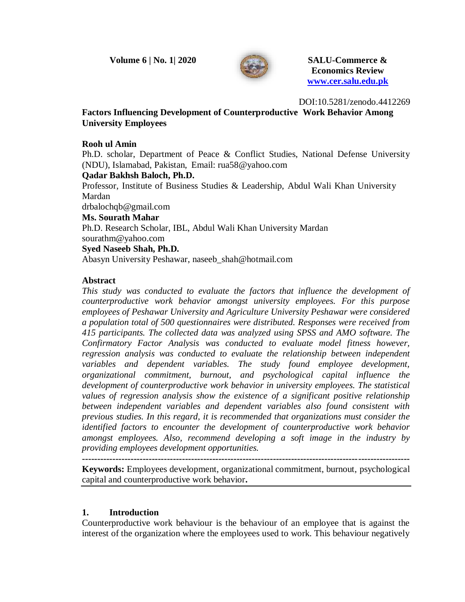**Volume 6 | No. 1| 2020 SALU-Commerce &**



 **Economics Review [www.cer.salu.edu.pk](http://www.cer.salu.edu.pk/)**

DOI:10.5281/zenodo.4412269

**Factors Influencing Development of Counterproductive Work Behavior Among University Employees**

#### **Rooh ul Amin**

Ph.D. scholar, Department of Peace & Conflict Studies, National Defense University (NDU), Islamabad, Pakistan, Email: [rua58@yahoo.com](mailto:rua58@yahoo.com)

#### **Qadar Bakhsh Baloch, Ph.D.**

Professor, Institute of Business Studies & Leadership, Abdul Wali Khan University Mardan

drbalochqb@gmail.com

#### **Ms. Sourath Mahar**

Ph.D. Research Scholar, IBL, Abdul Wali Khan University Mardan [sourathm@yahoo.com](mailto:sourathm@yahoo.com)

#### **Syed Naseeb Shah, Ph.D.**

Abasyn University Peshawar, naseeb\_shah@hotmail.com

## **Abstract**

*This study was conducted to evaluate the factors that influence the development of counterproductive work behavior amongst university employees. For this purpose employees of Peshawar University and Agriculture University Peshawar were considered a population total of 500 questionnaires were distributed. Responses were received from 415 participants. The collected data was analyzed using SPSS and AMO software. The Confirmatory Factor Analysis was conducted to evaluate model fitness however,*  regression analysis was conducted to evaluate the relationship between independent *variables and dependent variables. The study found employee development, organizational commitment, burnout, and psychological capital influence the development of counterproductive work behavior in university employees. The statistical values of regression analysis show the existence of a significant positive relationship between independent variables and dependent variables also found consistent with previous studies. In this regard, it is recommended that organizations must consider the identified factors to encounter the development of counterproductive work behavior amongst employees. Also, recommend developing a soft image in the industry by providing employees development opportunities.*

**------------------------------------------------------------------------------------------------------------**

**Keywords:** Employees development, organizational commitment, burnout, psychological capital and counterproductive work behavior**.**

## **1. Introduction**

Counterproductive work behaviour is the behaviour of an employee that is against the interest of the organization where the employees used to work. This behaviour negatively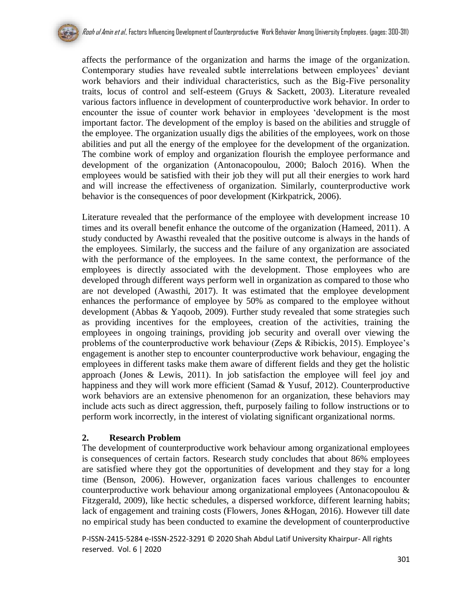affects the performance of the organization and harms the image of the organization. Contemporary studies have revealed subtle interrelations between employees' deviant work behaviors and their individual characteristics, such as the Big-Five personality traits, locus of control and self-esteem (Gruys & Sackett, 2003). Literature revealed various factors influence in development of counterproductive work behavior. In order to encounter the issue of counter work behavior in employees 'development is the most important factor. The development of the employ is based on the abilities and struggle of the employee. The organization usually digs the abilities of the employees, work on those abilities and put all the energy of the employee for the development of the organization. The combine work of employ and organization flourish the employee performance and development of the organization (Antonacopoulou, 2000; Baloch 2016). When the employees would be satisfied with their job they will put all their energies to work hard and will increase the effectiveness of organization. Similarly, counterproductive work behavior is the consequences of poor development (Kirkpatrick, 2006).

Literature revealed that the performance of the employee with development increase 10 times and its overall benefit enhance the outcome of the organization (Hameed, 2011). A study conducted by Awasthi revealed that the positive outcome is always in the hands of the employees. Similarly, the success and the failure of any organization are associated with the performance of the employees. In the same context, the performance of the employees is directly associated with the development. Those employees who are developed through different ways perform well in organization as compared to those who are not developed (Awasthi, 2017). It was estimated that the employee development enhances the performance of employee by 50% as compared to the employee without development (Abbas & Yaqoob, 2009). Further study revealed that some strategies such as providing incentives for the employees, creation of the activities, training the employees in ongoing trainings, providing job security and overall over viewing the problems of the counterproductive work behaviour (Zeps & Ribickis, 2015). Employee's engagement is another step to encounter counterproductive work behaviour, engaging the employees in different tasks make them aware of different fields and they get the holistic approach (Jones & Lewis, 2011). In job satisfaction the employee will feel joy and happiness and they will work more efficient (Samad & Yusuf, 2012). Counterproductive work behaviors are an extensive phenomenon for an organization, these behaviors may include acts such as direct aggression, theft, purposely failing to follow instructions or to perform work incorrectly, in the interest of violating significant organizational norms.

## **2. Research Problem**

The development of counterproductive work behaviour among organizational employees is consequences of certain factors. Research study concludes that about 86% employees are satisfied where they got the opportunities of development and they stay for a long time (Benson, 2006). However, organization faces various challenges to encounter counterproductive work behaviour among organizational employees (Antonacopoulou & Fitzgerald, 2009), like hectic schedules, a dispersed workforce, different learning habits; lack of engagement and training costs (Flowers, Jones &Hogan, 2016). However till date no empirical study has been conducted to examine the development of counterproductive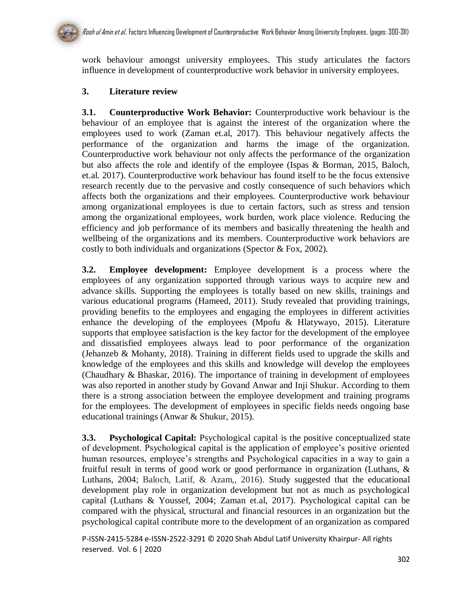

work behaviour amongst university employees. This study articulates the factors influence in development of counterproductive work behavior in university employees.

# **3. Literature review**

**3.1. Counterproductive Work Behavior:** Counterproductive work behaviour is the behaviour of an employee that is against the interest of the organization where the employees used to work (Zaman et.al, 2017). This behaviour negatively affects the performance of the organization and harms the image of the organization. Counterproductive work behaviour not only affects the performance of the organization but also affects the role and identify of the employee (Ispas & Borman, 2015, Baloch, et.al. 2017). Counterproductive work behaviour has found itself to be the focus extensive research recently due to the pervasive and costly consequence of such behaviors which affects both the organizations and their employees. Counterproductive work behaviour among organizational employees is due to certain factors, such as stress and tension among the organizational employees, work burden, work place violence. Reducing the efficiency and job performance of its members and basically threatening the health and wellbeing of the organizations and its members. Counterproductive work behaviors are costly to both individuals and organizations (Spector & Fox, 2002).

**3.2. Employee development:** Employee development is a process where the employees of any organization supported through various ways to acquire new and advance skills. Supporting the employees is totally based on new skills, trainings and various educational programs (Hameed, 2011). Study revealed that providing trainings, providing benefits to the employees and engaging the employees in different activities enhance the developing of the employees (Mpofu & Hlatywayo, 2015). Literature supports that employee satisfaction is the key factor for the development of the employee and dissatisfied employees always lead to poor performance of the organization (Jehanzeb & Mohanty, 2018). Training in different fields used to upgrade the skills and knowledge of the employees and this skills and knowledge will develop the employees (Chaudhary & Bhaskar, 2016). The importance of training in development of employees was also reported in another study by Govand Anwar and Inji Shukur. According to them there is a strong association between the employee development and training programs for the employees. The development of employees in specific fields needs ongoing base educational trainings (Anwar & Shukur, 2015).

**3.3. Psychological Capital:** Psychological capital is the positive conceptualized state of development. Psychological capital is the application of employee's positive oriented human resources, employee's strengths and Psychological capacities in a way to gain a fruitful result in terms of good work or good performance in organization (Luthans, & Luthans, 2004; Baloch, Latif, & Azam,, 2016). Study suggested that the educational development play role in organization development but not as much as psychological capital (Luthans & Youssef, 2004; Zaman et.al, 2017). Psychological capital can be compared with the physical, structural and financial resources in an organization but the psychological capital contribute more to the development of an organization as compared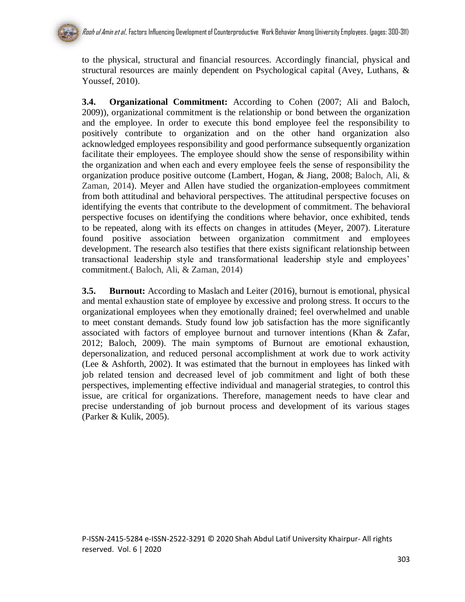to the physical, structural and financial resources. Accordingly financial, physical and structural resources are mainly dependent on Psychological capital (Avey, Luthans, & Youssef, 2010).

**3.4. Organizational Commitment:** According to Cohen (2007; Ali and Baloch, 2009)), organizational commitment is the relationship or bond between the organization and the employee. In order to execute this bond employee feel the responsibility to positively contribute to organization and on the other hand organization also acknowledged employees responsibility and good performance subsequently organization facilitate their employees. The employee should show the sense of responsibility within the organization and when each and every employee feels the sense of responsibility the organization produce positive outcome (Lambert, Hogan, & Jiang, 2008; Baloch, Ali, & Zaman, 2014). Meyer and Allen have studied the organization-employees commitment from both attitudinal and behavioral perspectives. The attitudinal perspective focuses on identifying the events that contribute to the development of commitment. The behavioral perspective focuses on identifying the conditions where behavior, once exhibited, tends to be repeated, along with its effects on changes in attitudes (Meyer, 2007). Literature found positive association between organization commitment and employees development. The research also testifies that there exists significant relationship between transactional leadership style and transformational leadership style and employees' commitment.( Baloch, Ali, & Zaman, 2014)

**3.5. Burnout:** According to Maslach and Leiter (2016), burnout is emotional, physical and mental exhaustion state of employee by excessive and prolong stress. It occurs to the organizational employees when they emotionally drained; feel overwhelmed and unable to meet constant demands. Study found low job satisfaction has the more significantly associated with factors of employee burnout and turnover intentions (Khan & Zafar, 2012; Baloch, 2009). The main symptoms of Burnout are emotional exhaustion, depersonalization, and reduced personal accomplishment at work due to work activity (Lee & Ashforth, 2002). It was estimated that the burnout in employees has linked with job related tension and decreased level of job commitment and light of both these perspectives, implementing effective individual and managerial strategies, to control this issue, are critical for organizations. Therefore, management needs to have clear and precise understanding of job burnout process and development of its various stages (Parker & Kulik, 2005).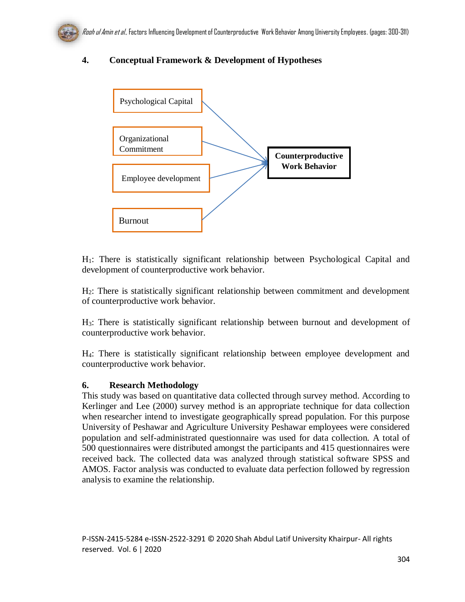# **4. Conceptual Framework & Development of Hypotheses**



H1: There is statistically significant relationship between Psychological Capital and development of counterproductive work behavior.

H2: There is statistically significant relationship between commitment and development of counterproductive work behavior.

H3: There is statistically significant relationship between burnout and development of counterproductive work behavior.

H4: There is statistically significant relationship between employee development and counterproductive work behavior.

## **6. Research Methodology**

This study was based on quantitative data collected through survey method. According to Kerlinger and Lee (2000) survey method is an appropriate technique for data collection when researcher intend to investigate geographically spread population. For this purpose University of Peshawar and Agriculture University Peshawar employees were considered population and self-administrated questionnaire was used for data collection. A total of 500 questionnaires were distributed amongst the participants and 415 questionnaires were received back. The collected data was analyzed through statistical software SPSS and AMOS. Factor analysis was conducted to evaluate data perfection followed by regression analysis to examine the relationship.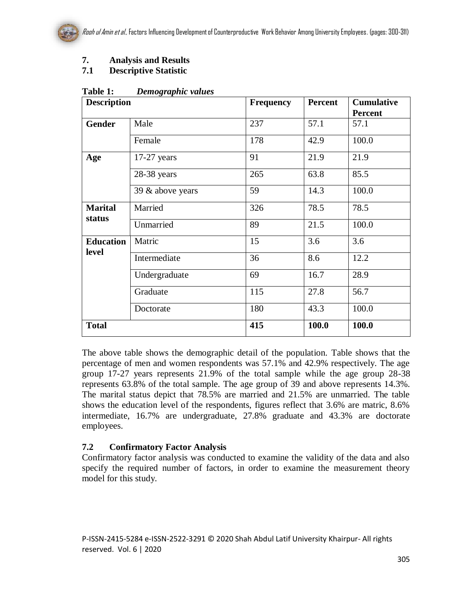# **7. Analysis and Results**

# **7.1 Descriptive Statistic**

| $ \cdots$ $\sim$ $\sim$ $\cdots$ $\sim$ $\cdots$ $\cdots$<br><b>Description</b> |                  | <b>Frequency</b> | Percent     | <b>Cumulative</b><br><b>Percent</b> |  |
|---------------------------------------------------------------------------------|------------------|------------------|-------------|-------------------------------------|--|
| <b>Gender</b>                                                                   | Male             | 237              | 57.1        | 57.1                                |  |
|                                                                                 | Female           | 178              | 42.9        | 100.0                               |  |
| Age                                                                             | $17-27$ years    | 91               | 21.9        | 21.9                                |  |
|                                                                                 | 28-38 years      | 265              | 63.8        | 85.5                                |  |
|                                                                                 | 39 & above years | 59<br>14.3       |             | 100.0                               |  |
| <b>Marital</b><br>status                                                        | Married          | 326              | 78.5        | 78.5                                |  |
|                                                                                 | Unmarried        | 89               | 21.5        | 100.0                               |  |
| <b>Education</b><br>level                                                       | Matric           | 15               | 3.6         | 3.6                                 |  |
|                                                                                 | Intermediate     | 36               | 8.6<br>16.7 | 12.2<br>28.9                        |  |
|                                                                                 | Undergraduate    | 69               |             |                                     |  |
|                                                                                 | Graduate         | 115              | 27.8        | 56.7                                |  |
|                                                                                 | Doctorate        | 180              | 43.3        | 100.0                               |  |
| <b>Total</b>                                                                    |                  | 415              | 100.0       | 100.0                               |  |

#### **Table 1:** *Demographic values*

The above table shows the demographic detail of the population. Table shows that the percentage of men and women respondents was 57.1% and 42.9% respectively. The age group 17-27 years represents 21.9% of the total sample while the age group 28-38 represents 63.8% of the total sample. The age group of 39 and above represents 14.3%. The marital status depict that 78.5% are married and 21.5% are unmarried. The table shows the education level of the respondents, figures reflect that 3.6% are matric, 8.6% intermediate, 16.7% are undergraduate, 27.8% graduate and 43.3% are doctorate employees.

## **7.2 Confirmatory Factor Analysis**

Confirmatory factor analysis was conducted to examine the validity of the data and also specify the required number of factors, in order to examine the measurement theory model for this study.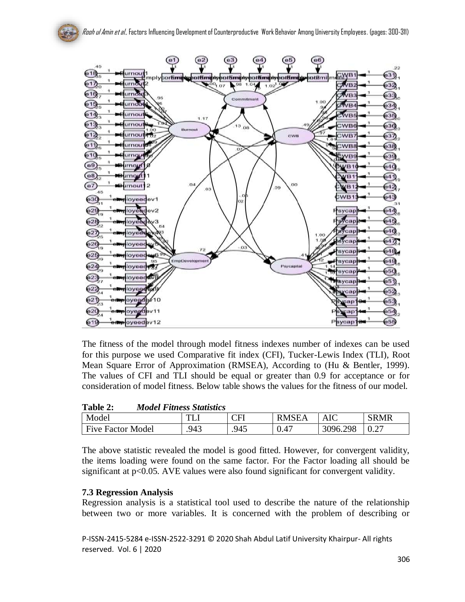

The fitness of the model through model fitness indexes number of indexes can be used for this purpose we used Comparative fit index (CFI), Tucker-Lewis Index (TLI), Root Mean Square Error of Approximation (RMSEA), According to (Hu & Bentler, 1999). The values of CFI and TLI should be equal or greater than 0.9 for acceptance or for consideration of model fitness. Below table shows the values for the fitness of our model.

| Table 2:                 | <b>Model Fitness Statistics</b> |          |              |          |      |
|--------------------------|---------------------------------|----------|--------------|----------|------|
| Model                    |                                 | $\Gamma$ | <b>RMSEA</b> | AIC      | SRMR |
| <b>Five Factor Model</b> | .943                            | 945      | 0.47         | 3096.298 |      |

The above statistic revealed the model is good fitted. However, for convergent validity, the items loading were found on the same factor. For the Factor loading all should be significant at p<0.05. AVE values were also found significant for convergent validity.

#### **7.3 Regression Analysis**

Regression analysis is a statistical tool used to describe the nature of the relationship between two or more variables. It is concerned with the problem of describing or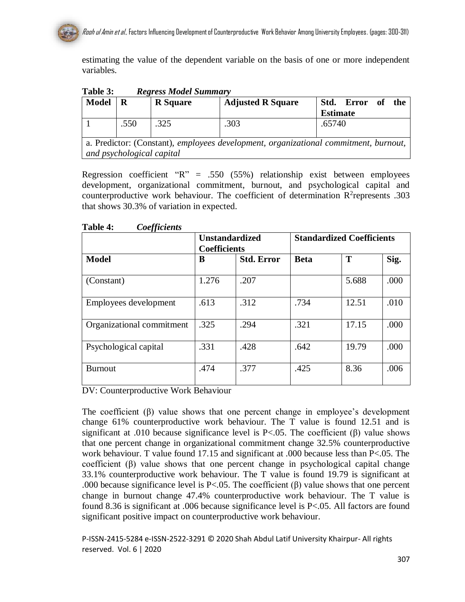estimating the value of the dependent variable on the basis of one or more independent variables.

**Table 3:** *Regress Model Summary*

| <b>Model</b>                                                                         | R    | <b>R</b> Square | <b>Adjusted R Square</b> | Std. Error of<br>the |  |
|--------------------------------------------------------------------------------------|------|-----------------|--------------------------|----------------------|--|
|                                                                                      |      |                 |                          | <b>Estimate</b>      |  |
|                                                                                      | .550 | .325            | .303                     | .65740               |  |
|                                                                                      |      |                 |                          |                      |  |
| a. Predictor: (Constant), employees development, organizational commitment, burnout, |      |                 |                          |                      |  |
| and psychological capital                                                            |      |                 |                          |                      |  |

Regression coefficient  $R'' = .550$  (55%) relationship exist between employees development, organizational commitment, burnout, and psychological capital and counterproductive work behaviour. The coefficient of determination  $\mathbb{R}^2$  represents .303 that shows 30.3% of variation in expected.

| vv                        | <b>Unstandardized</b><br><b>Coefficients</b> |                   | <b>Standardized Coefficients</b> |       |      |
|---------------------------|----------------------------------------------|-------------------|----------------------------------|-------|------|
| <b>Model</b>              | B                                            | <b>Std. Error</b> | <b>Beta</b>                      | T     | Sig. |
| (Constant)                | 1.276                                        | .207              |                                  | 5.688 | .000 |
| Employees development     | .613                                         | .312              | .734                             | 12.51 | .010 |
| Organizational commitment | .325                                         | .294              | .321                             | 17.15 | .000 |
| Psychological capital     | .331                                         | .428              | .642                             | 19.79 | .000 |
| <b>Burnout</b>            | .474                                         | .377              | .425                             | 8.36  | .006 |

**Table 4:** *Coefficients*

DV: Counterproductive Work Behaviour

The coefficient  $(\beta)$  value shows that one percent change in employee's development change 61% counterproductive work behaviour. The T value is found 12.51 and is significant at .010 because significance level is  $P < .05$ . The coefficient (β) value shows that one percent change in organizational commitment change 32.5% counterproductive work behaviour. T value found 17.15 and significant at .000 because less than P<.05. The coefficient  $(\beta)$  value shows that one percent change in psychological capital change 33.1% counterproductive work behaviour. The T value is found 19.79 is significant at .000 because significance level is P<.05. The coefficient (β) value shows that one percent change in burnout change 47.4% counterproductive work behaviour. The T value is found 8.36 is significant at .006 because significance level is P<.05. All factors are found significant positive impact on counterproductive work behaviour.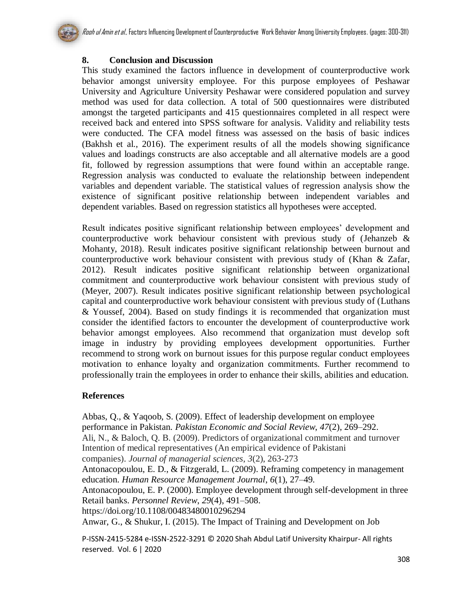# **8. Conclusion and Discussion**

This study examined the factors influence in development of counterproductive work behavior amongst university employee. For this purpose employees of Peshawar University and Agriculture University Peshawar were considered population and survey method was used for data collection. A total of 500 questionnaires were distributed amongst the targeted participants and 415 questionnaires completed in all respect were received back and entered into SPSS software for analysis. Validity and reliability tests were conducted. The CFA model fitness was assessed on the basis of basic indices (Bakhsh et al., 2016). The experiment results of all the models showing significance values and loadings constructs are also acceptable and all alternative models are a good fit, followed by regression assumptions that were found within an acceptable range. Regression analysis was conducted to evaluate the relationship between independent variables and dependent variable. The statistical values of regression analysis show the existence of significant positive relationship between independent variables and dependent variables. Based on regression statistics all hypotheses were accepted.

Result indicates positive significant relationship between employees' development and counterproductive work behaviour consistent with previous study of (Jehanzeb & Mohanty, 2018). Result indicates positive significant relationship between burnout and counterproductive work behaviour consistent with previous study of (Khan & Zafar, 2012). Result indicates positive significant relationship between organizational commitment and counterproductive work behaviour consistent with previous study of (Meyer, 2007). Result indicates positive significant relationship between psychological capital and counterproductive work behaviour consistent with previous study of (Luthans & Youssef, 2004). Based on study findings it is recommended that organization must consider the identified factors to encounter the development of counterproductive work behavior amongst employees. Also recommend that organization must develop soft image in industry by providing employees development opportunities. Further recommend to strong work on burnout issues for this purpose regular conduct employees motivation to enhance loyalty and organization commitments. Further recommend to professionally train the employees in order to enhance their skills, abilities and education.

## **References**

Abbas, Q., & Yaqoob, S. (2009). Effect of leadership development on employee performance in Pakistan. *Pakistan Economic and Social Review*, *47*(2), 269–292. Ali, N., & Baloch, Q. B. (2009). Predictors of organizational commitment and turnover Intention of medical representatives (An empirical evidence of Pakistani companies). *Journal of managerial sciences*, *3*(2), 263-273 Antonacopoulou, E. D., & Fitzgerald, L. (2009). Reframing competency in management education. *Human Resource Management Journal*, *6*(1), 27–49.

Antonacopoulou, E. P. (2000). Employee development through self-development in three Retail banks. *Personnel Review*, *29*(4), 491–508.

https://doi.org/10.1108/00483480010296294

Anwar, G., & Shukur, I. (2015). The Impact of Training and Development on Job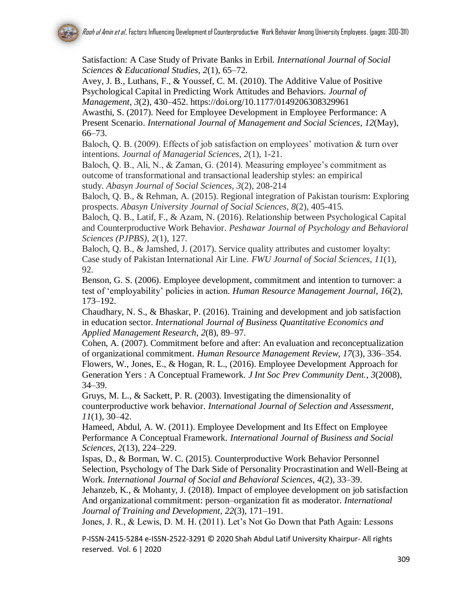Satisfaction: A Case Study of Private Banks in Erbil. *International Journal of Social Sciences & Educational Studies*, *2*(1), 65–72.

Avey, J. B., Luthans, F., & Youssef, C. M. (2010). The Additive Value of Positive Psychological Capital in Predicting Work Attitudes and Behaviors. *Journal of Management*, *3*(2), 430–452. https://doi.org/10.1177/0149206308329961

Awasthi, S. (2017). Need for Employee Development in Employee Performance: A Present Scenario. *International Journal of Management and Social Sciences*, *12*(May), 66–73.

Baloch, Q. B. (2009). Effects of job satisfaction on employees' motivation & turn over intentions. *Journal of Managerial Sciences*, *2*(1), 1-21.

Baloch, Q. B., Ali, N., & Zaman, G. (2014). Measuring employee's commitment as outcome of transformational and transactional leadership styles: an empirical study. *Abasyn Journal of Social Sciences*, *3*(2), 208-214

Baloch, Q. B., & Rehman, A. (2015). Regional integration of Pakistan tourism: Exploring prospects. *Abasyn University Journal of Social Sciences*, *8*(2), 405-415.

Baloch, Q. B., Latif, F., & Azam, N. (2016). Relationship between Psychological Capital and Counterproductive Work Behavior. *Peshawar Journal of Psychology and Behavioral Sciences (PJPBS)*, *2*(1), 127.

Baloch, Q. B., & Jamshed, J. (2017). Service quality attributes and customer loyalty: Case study of Pakistan International Air Line. *FWU Journal of Social Sciences*, *11*(1), 92.

Benson, G. S. (2006). Employee development, commitment and intention to turnover: a test of 'employability' policies in action. *Human Resource Management Journal*, *16*(2), 173–192.

Chaudhary, N. S., & Bhaskar, P. (2016). Training and development and job satisfaction in education sector. *International Journal of Business Quantitative Economics and Applied Management Research*, *2*(8), 89–97.

Cohen, A. (2007). Commitment before and after: An evaluation and reconceptualization of organizational commitment. *Human Resource Management Review*, *17*(3), 336–354. Flowers, W., Jones, E., & Hogan, R. L., (2016). Employee Development Approach for Generation Yers : A Conceptual Framework. *J Int Soc Prev Community Dent.*, *3*(2008), 34–39.

Gruys, M. L., & Sackett, P. R. (2003). Investigating the dimensionality of counterproductive work behavior. *International Journal of Selection and Assessment*, *11*(1), 30–42.

Hameed, Abdul, A. W. (2011). Employee Development and Its Effect on Employee Performance A Conceptual Framework. *International Journal of Business and Social Sciences*, *2*(13), 224–229.

Ispas, D., & Borman, W. C. (2015). Counterproductive Work Behavior Personnel Selection, Psychology of The Dark Side of Personality Procrastination and Well-Being at Work. *International Journal of Social and Behavioral Sciences*, *4*(2), 33–39.

Jehanzeb, K., & Mohanty, J. (2018). Impact of employee development on job satisfaction And organizational commitment: person–organization fit as moderator. *International Journal of Training and Development*, *22*(3), 171–191.

Jones, J. R., & Lewis, D. M. H. (2011). Let's Not Go Down that Path Again: Lessons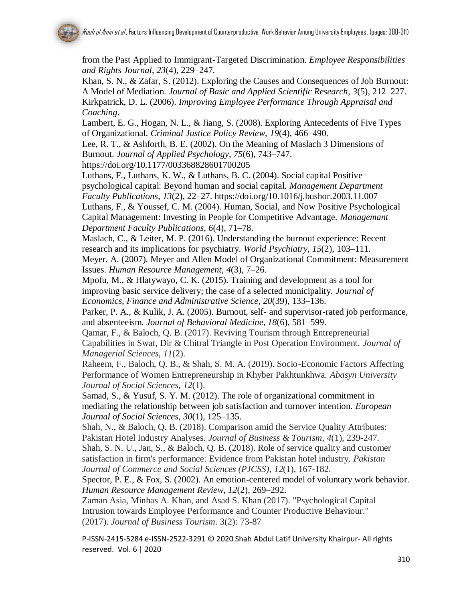from the Past Applied to Immigrant-Targeted Discrimination. *Employee Responsibilities and Rights Journal*, *23*(4), 229–247.

Khan, S. N., & Zafar, S. (2012). Exploring the Causes and Consequences of Job Burnout: A Model of Mediation. *Journal of Basic and Applied Scientific Research*, *3*(5), 212–227. Kirkpatrick, D. L. (2006). *Improving Employee Performance Through Appraisal and Coaching*.

Lambert, E. G., Hogan, N. L., & Jiang, S. (2008). Exploring Antecedents of Five Types of Organizational. *Criminal Justice Policy Review*, *19*(4), 466–490.

Lee, R. T., & Ashforth, B. E. (2002). On the Meaning of Maslach 3 Dimensions of Burnout. *Journal of Applied Psychology*, *75*(6), 743–747.

https://doi.org/10.1177/003368828601700205

Luthans, F., Luthans, K. W., & Luthans, B. C. (2004). Social capital Positive psychological capital: Beyond human and social capital. *Management Department Faculty Publications*, *13*(2), 22–27. https://doi.org/10.1016/j.bushor.2003.11.007 Luthans, F., & Youssef, C. M. (2004). Human, Social, and Now Positive Psychological

Capital Management: Investing in People for Competitive Advantage. *Managemant Department Faculty Publications*, *6*(4), 71–78.

Maslach, C., & Leiter, M. P. (2016). Understanding the burnout experience: Recent research and its implications for psychiatry. *World Psychiatry*, *15*(2), 103–111. Meyer, A. (2007). Meyer and Allen Model of Organizational Commitment: Measurement Issues. *Human Resource Management*, *4*(3), 7–26.

Mpofu, M., & Hlatywayo, C. K. (2015). Training and development as a tool for improving basic service delivery; the case of a selected municipality. *Journal of Economics, Finance and Administrative Science*, *20*(39), 133–136.

Parker, P. A., & Kulik, J. A. (2005). Burnout, self- and supervisor-rated job performance, and absenteeism. *Journal of Behavioral Medicine*, *18*(6), 581–599.

Qamar, F., & Baloch, Q. B. (2017). Reviving Tourism through Entrepreneurial Capabilities in Swat, Dir & Chitral Triangle in Post Operation Environment. *Journal of Managerial Sciences*, *11*(2).

Raheem, F., Baloch, Q. B., & Shah, S. M. A. (2019). Socio-Economic Factors Affecting Performance of Women Entrepreneurship in Khyber Pakhtunkhwa. *Abasyn University Journal of Social Sciences*, *12*(1).

Samad, S., & Yusuf, S. Y. M. (2012). The role of organizational commitment in mediating the relationship between job satisfaction and turnover intention. *European Journal of Social Sciences*, *30*(1), 125–135.

Shah, N., & Baloch, Q. B. (2018). Comparison amid the Service Quality Attributes: Pakistan Hotel Industry Analyses. *Journal of Business & Tourism*, *4*(1), 239-247.

Shah, S. N. U., Jan, S., & Baloch, Q. B. (2018). Role of service quality and customer satisfaction in firm's performance: Evidence from Pakistan hotel industry. *Pakistan Journal of Commerce and Social Sciences (PJCSS)*, *12*(1), 167-182.

Spector, P. E., & Fox, S. (2002). An emotion-centered model of voluntary work behavior. *Human Resource Management Review*, *12*(2), 269–292.

Zaman Asia, Minhas A. Khan, and Asad S. Khan (2017). "Psychological Capital Intrusion towards Employee Performance and Counter Productive Behaviour." (2017). *Journal of Business Tourism*. 3(2): 73-87